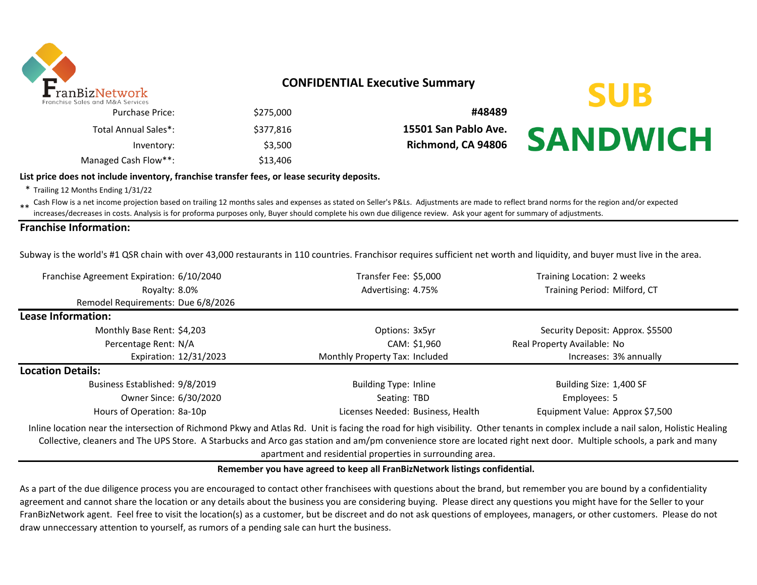

### **CONFIDENTIAL Executive Summary**

**SUB** 

**SANDWICH** 

| #48489               | \$275,000 | <b>Purchase Price:</b> |
|----------------------|-----------|------------------------|
| 15501 San Pablo Ave. | \$377.816 | Total Annual Sales*:   |
| Richmond, CA 94806   | \$3.500   | Inventory:             |
|                      | \$13,406  | Managed Cash Flow**:   |

#### **List price does not include inventory, franchise transfer fees, or lease security deposits.**

\* Trailing 12 Months Ending 1/31/22

\*\* Cash Flow is a net income projection based on trailing 12 months sales and expenses as stated on Seller's P&Ls. Adjustments are made to reflect brand norms for the region and/or expected in costs. Analysis is for profor increases/decreases in costs. Analysis is for proforma purposes only, Buyer should complete his own due diligence review. Ask your agent for summary of adjustments.

#### **Franchise Information:**

Subway is the world's #1 QSR chain with over 43,000 restaurants in 110 countries. Franchisor requires sufficient net worth and liquidity, and buyer must live in the area.

| Franchise Agreement Expiration: 6/10/2040                                                                                                                                                                                                                                                                                                                                                                           | Transfer Fee: \$5,000             | Training Location: 2 weeks       |  |  |
|---------------------------------------------------------------------------------------------------------------------------------------------------------------------------------------------------------------------------------------------------------------------------------------------------------------------------------------------------------------------------------------------------------------------|-----------------------------------|----------------------------------|--|--|
| Royalty: 8.0%                                                                                                                                                                                                                                                                                                                                                                                                       | Advertising: 4.75%                | Training Period: Milford, CT     |  |  |
| Remodel Requirements: Due 6/8/2026                                                                                                                                                                                                                                                                                                                                                                                  |                                   |                                  |  |  |
| Lease Information:                                                                                                                                                                                                                                                                                                                                                                                                  |                                   |                                  |  |  |
| Monthly Base Rent: \$4,203                                                                                                                                                                                                                                                                                                                                                                                          | Options: 3x5yr                    | Security Deposit: Approx. \$5500 |  |  |
| Percentage Rent: N/A                                                                                                                                                                                                                                                                                                                                                                                                | CAM: \$1,960                      | Real Property Available: No      |  |  |
| Expiration: 12/31/2023                                                                                                                                                                                                                                                                                                                                                                                              | Monthly Property Tax: Included    | Increases: 3% annually           |  |  |
| <b>Location Details:</b>                                                                                                                                                                                                                                                                                                                                                                                            |                                   |                                  |  |  |
| Business Established: 9/8/2019                                                                                                                                                                                                                                                                                                                                                                                      | <b>Building Type: Inline</b>      | Building Size: 1,400 SF          |  |  |
| Owner Since: 6/30/2020                                                                                                                                                                                                                                                                                                                                                                                              | Seating: TBD                      | Employees: 5                     |  |  |
| Hours of Operation: 8a-10p                                                                                                                                                                                                                                                                                                                                                                                          | Licenses Needed: Business, Health | Equipment Value: Approx \$7,500  |  |  |
| Inline location near the intersection of Richmond Pkwy and Atlas Rd. Unit is facing the road for high visibility. Other tenants in complex include a nail salon, Holistic Healing<br>Callentine, algorithment The UDC Chain, A Chainmain and Aire are station and and an incomparisonal station and algorithment and the United States of the United States of the United States of the United States of the United |                                   |                                  |  |  |

Collective, cleaners and The UPS Store. A Starbucks and Arco gas station and am/pm convenience store are located right next door. Multiple schools, a park and many apartment and residential properties in surrounding area.

#### **Remember you have agreed to keep all FranBizNetwork listings confidential.**

As a part of the due diligence process you are encouraged to contact other franchisees with questions about the brand, but remember you are bound by a confidentiality agreement and cannot share the location or any details about the business you are considering buying. Please direct any questions you might have for the Seller to your FranBizNetwork agent. Feel free to visit the location(s) as a customer, but be discreet and do not ask questions of employees, managers, or other customers. Please do not draw unneccessary attention to yourself, as rumors of a pending sale can hurt the business.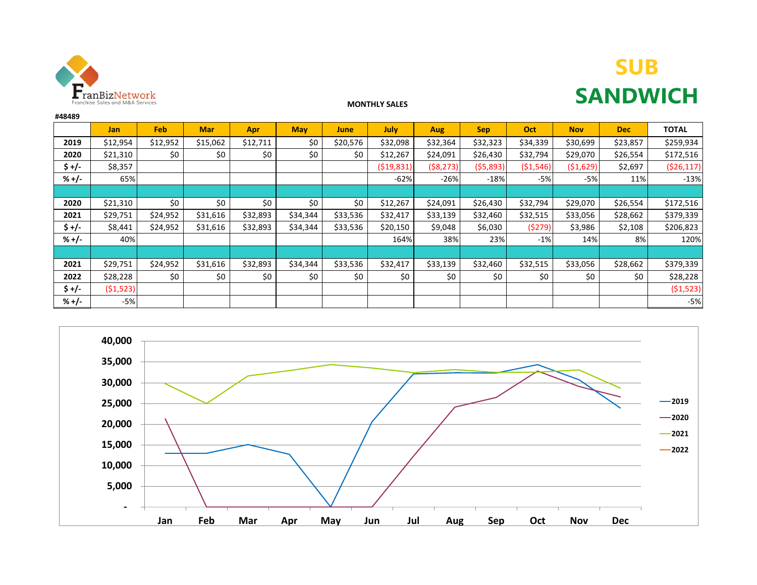

# **SUB SANDWICH**

#### **MONTHLY SALES**

| #48489  |            |            |            |          |            |          |             |            |            |           |            |            |              |
|---------|------------|------------|------------|----------|------------|----------|-------------|------------|------------|-----------|------------|------------|--------------|
|         | <b>Jan</b> | <b>Feb</b> | <b>Mar</b> | Apr      | <b>May</b> | June     | <b>July</b> | <b>Aug</b> | <b>Sep</b> | Oct       | <b>Nov</b> | <b>Dec</b> | <b>TOTAL</b> |
| 2019    | \$12,954   | \$12,952   | \$15,062   | \$12,711 | \$0        | \$20,576 | \$32,098    | \$32,364   | \$32,323   | \$34,339  | \$30,699   | \$23,857   | \$259,934    |
| 2020    | \$21,310   | \$0        | \$0        | \$0      | \$0        | \$0      | \$12,267    | \$24,091   | \$26,430   | \$32,794  | \$29,070   | \$26,554   | \$172,516    |
| $5 +/-$ | \$8,357    |            |            |          |            |          | ( \$19,831) | (58, 273)  | ( \$5,893) | (51, 546) | (51,629)   | \$2,697    | (526, 117)   |
| $% +/-$ | 65%        |            |            |          |            |          | $-62%$      | $-26%$     | $-18%$     | $-5%$     | -5%        | 11%        | $-13%$       |
|         |            |            |            |          |            |          |             |            |            |           |            |            |              |
| 2020    | \$21,310   | \$0        | \$0        | \$0      | \$0        | \$0      | \$12,267    | \$24,091   | \$26,430   | \$32,794  | \$29,070   | \$26,554   | \$172,516    |
| 2021    | \$29,751   | \$24,952   | \$31,616   | \$32,893 | \$34,344   | \$33,536 | \$32,417    | \$33,139   | \$32,460   | \$32,515  | \$33,056   | \$28,662   | \$379,339    |
| $5 +/-$ | \$8,441    | \$24,952   | \$31,616   | \$32,893 | \$34,344   | \$33,536 | \$20,150    | \$9,048    | \$6,030    | (5279)    | \$3,986    | \$2,108    | \$206,823    |
| $% +/-$ | 40%        |            |            |          |            |          | 164%        | 38%        | 23%        | $-1%$     | 14%        | 8%         | 120%         |
|         |            |            |            |          |            |          |             |            |            |           |            |            |              |
| 2021    | \$29,751   | \$24,952   | \$31,616   | \$32,893 | \$34,344   | \$33,536 | \$32,417    | \$33,139   | \$32,460   | \$32,515  | \$33,056   | \$28,662   | \$379,339    |
| 2022    | \$28,228   | \$0        | \$0        | \$0      | \$0        | \$0      | \$0         | \$0        | \$0        | \$0       | \$0        | \$0        | \$28,228     |
| $5 +/-$ | (51,523)   |            |            |          |            |          |             |            |            |           |            |            | (51,523)     |
| $% +/-$ | $-5%$      |            |            |          |            |          |             |            |            |           |            |            | $-5%$        |